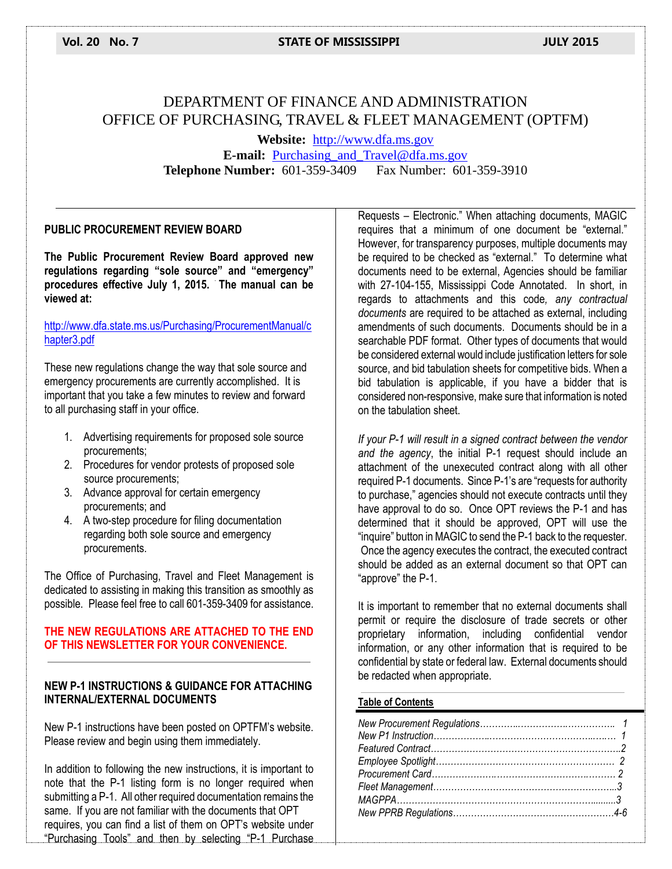# DEPARTMENT OF FINANCE AND ADMINISTRATION OFFICE OF PURCHASING, TRAVEL & FLEET MANAGEMENT (OPTFM)

**Website:** [http://www.dfa.ms.gov](http://www.dfa.ms.gov/) **E-mail:** [Purchasing\\_and\\_Travel@dfa.ms.gov](mailto:Purchasing_and_Travel@dfa.ms.gov) **Telephone Number:** 601-359-3409 Fax Number: 601-359-3910

#### **PUBLIC PROCUREMENT REVIEW BOARD**

**The Public Procurement Review Board approved new regulations regarding "sole source" and "emergency" procedures effective July 1, 2015. The manual can be viewed at:** 

#### [http://www.dfa.state.ms.us/Purchasing/ProcurementManual/c](http://www.dfa.state.ms.us/Purchasing/ProcurementManual/chapter3.pdf) [hapter3.pdf](http://www.dfa.state.ms.us/Purchasing/ProcurementManual/chapter3.pdf)

These new regulations change the way that sole source and emergency procurements are currently accomplished. It is important that you take a few minutes to review and forward to all purchasing staff in your office.

- 1. Advertising requirements for proposed sole source procurements;
- 2. Procedures for vendor protests of proposed sole source procurements;
- 3. Advance approval for certain emergency procurements; and
- 4. A two-step procedure for filing documentation regarding both sole source and emergency procurements.

The Office of Purchasing, Travel and Fleet Management is dedicated to assisting in making this transition as smoothly as possible. Please feel free to call 601-359-3409 for assistance.

#### **THE NEW REGULATIONS ARE ATTACHED TO THE END OF THIS NEWSLETTER FOR YOUR CONVENIENCE.**

#### **NEW P-1 INSTRUCTIONS & GUIDANCE FOR ATTACHING INTERNAL/EXTERNAL DOCUMENTS**

New P-1 instructions have been posted on OPTFM's website. Please review and begin using them immediately.

In addition to following the new instructions, it is important to note that the P-1 listing form is no longer required when submitting a P-1. All other required documentation remains the same. If you are not familiar with the documents that OPT requires, you can find a list of them on OPT's website under "Purchasing Tools" and then by selecting "P-1 Purchase Requests – Electronic." When attaching documents, MAGIC requires that a minimum of one document be "external." However, for transparency purposes, multiple documents may be required to be checked as "external." To determine what documents need to be external, Agencies should be familiar with 27-104-155, Mississippi Code Annotated. In short, in regards to attachments and this code*, any contractual documents* are required to be attached as external, including amendments of such documents. Documents should be in a searchable PDF format. Other types of documents that would be considered external would include justification letters for sole source, and bid tabulation sheets for competitive bids. When a bid tabulation is applicable, if you have a bidder that is considered non-responsive, make sure that information is noted on the tabulation sheet.

*If your P-1 will result in a signed contract between the vendor and the agency*, the initial P-1 request should include an attachment of the unexecuted contract along with all other required P-1 documents. Since P-1's are "requests for authority to purchase," agencies should not execute contracts until they have approval to do so. Once OPT reviews the P-1 and has determined that it should be approved, OPT will use the "inquire" button in MAGIC to send the P-1 back to the requester. Once the agency executes the contract, the executed contract should be added as an external document so that OPT can "approve" the P-1.

It is important to remember that no external documents shall permit or require the disclosure of trade secrets or other proprietary information, including confidential vendor information, or any other information that is required to be confidential by state or federal law. External documents should be redacted when appropriate.

#### **Table of Contents**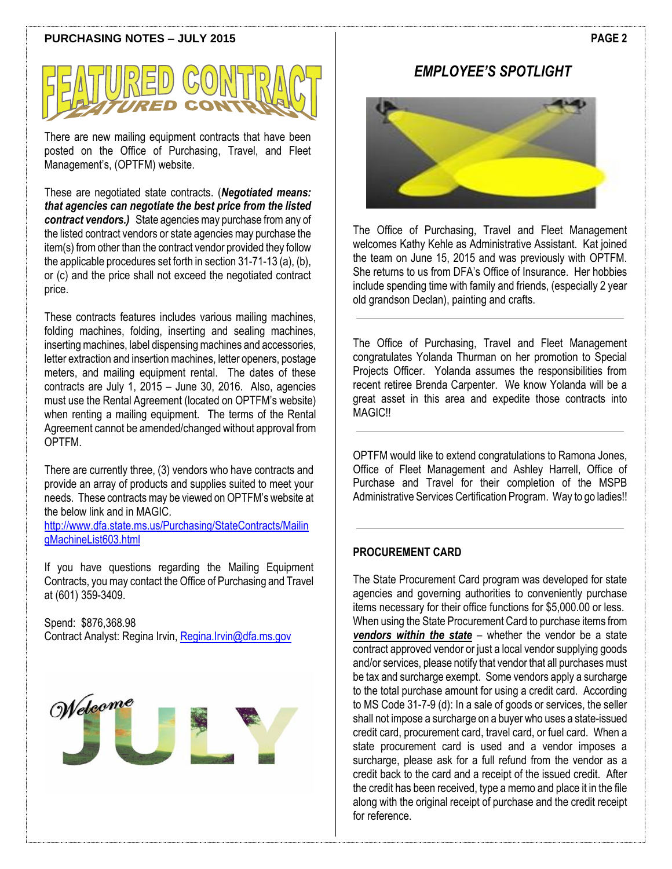#### **PURCHASING NOTES – JULY 2015**



There are new mailing equipment contracts that have been posted on the Office of Purchasing, Travel, and Fleet Management's, (OPTFM) website.

These are negotiated state contracts. (*Negotiated means: that agencies can negotiate the best price from the listed contract vendors.)* State agencies may purchase from any of the listed contract vendors or state agencies may purchase the item(s) from other than the contract vendor provided they follow the applicable procedures set forth in section 31-71-13 (a), (b), or (c) and the price shall not exceed the negotiated contract price.

These contracts features includes various mailing machines, folding machines, folding, inserting and sealing machines, inserting machines, label dispensing machines and accessories, letter extraction and insertion machines, letter openers, postage meters, and mailing equipment rental. The dates of these contracts are July 1, 2015 – June 30, 2016. Also, agencies must use the Rental Agreement (located on OPTFM's website) when renting a mailing equipment. The terms of the Rental Agreement cannot be amended/changed without approval from OPTFM.

There are currently three, (3) vendors who have contracts and provide an array of products and supplies suited to meet your needs. These contracts may be viewed on OPTFM's website at the below link and in MAGIC.

[http://www.dfa.state.ms.us/Purchasing/StateContracts/Mailin](http://www.dfa.state.ms.us/Purchasing/StateContracts/MailingMachineList603.html) [gMachineList603.html](http://www.dfa.state.ms.us/Purchasing/StateContracts/MailingMachineList603.html)

If you have questions regarding the Mailing Equipment Contracts, you may contact the Office of Purchasing and Travel at (601) 359-3409.

Spend: \$876,368.98 Contract Analyst: Regina Irvin, [Regina.Irvin@dfa.ms.gov](mailto:Regina.Irvin@dfa.ms.gov)



## *EMPLOYEE'S SPOTLIGHT*



The Office of Purchasing, Travel and Fleet Management welcomes Kathy Kehle as Administrative Assistant. Kat joined the team on June 15, 2015 and was previously with OPTFM. She returns to us from DFA's Office of Insurance. Her hobbies include spending time with family and friends, (especially 2 year old grandson Declan), painting and crafts.

The Office of Purchasing, Travel and Fleet Management congratulates Yolanda Thurman on her promotion to Special Projects Officer. Yolanda assumes the responsibilities from recent retiree Brenda Carpenter. We know Yolanda will be a great asset in this area and expedite those contracts into **MAGIC!!** 

OPTFM would like to extend congratulations to Ramona Jones, Office of Fleet Management and Ashley Harrell, Office of Purchase and Travel for their completion of the MSPB Administrative Services Certification Program. Way to go ladies!!

#### **PROCUREMENT CARD**

The State Procurement Card program was developed for state agencies and governing authorities to conveniently purchase items necessary for their office functions for \$5,000.00 or less. When using the State Procurement Card to purchase items from *vendors within the state* – whether the vendor be a state contract approved vendor or just a local vendor supplying goods and/or services, please notify that vendor that all purchases must be tax and surcharge exempt. Some vendors apply a surcharge to the total purchase amount for using a credit card. According to MS Code 31-7-9 (d): In a sale of goods or services, the seller shall not impose a surcharge on a buyer who uses a state-issued credit card, procurement card, travel card, or fuel card. When a state procurement card is used and a vendor imposes a surcharge, please ask for a full refund from the vendor as a credit back to the card and a receipt of the issued credit. After the credit has been received, type a memo and place it in the file along with the original receipt of purchase and the credit receipt for reference.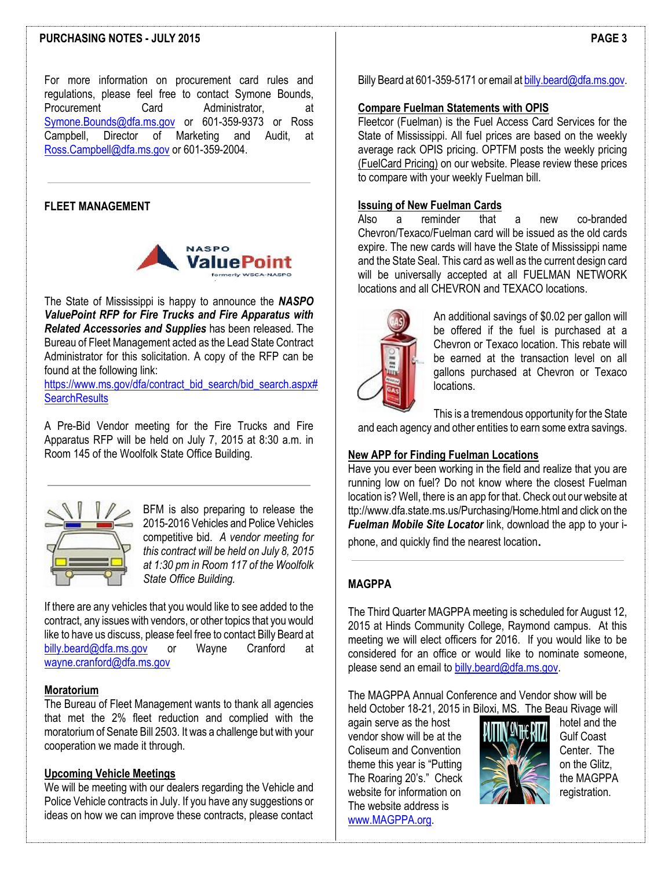#### **PURCHASING NOTES - JULY 2015**

For more information on procurement card rules and regulations, please feel free to contact Symone Bounds, Procurement Card Administrator, at [Symone.Bounds@dfa.ms.gov](mailto:Symone.Bounds@dfa.ms.gov) or 601-359-9373 or Ross Campbell, Director of Marketing and Audit, at [Ross.Campbell@dfa.ms.gov](mailto:Ross.Campbell@dfa.ms.gov) or 601-359-2004.

#### **FLEET MANAGEMENT**



The State of Mississippi is happy to announce the *NASPO ValuePoint RFP for Fire Trucks and Fire Apparatus with Related Accessories and Supplies* has been released. The Bureau of Fleet Management acted as the Lead State Contract Administrator for this solicitation. A copy of the RFP can be found at the following link:

[https://www.ms.gov/dfa/contract\\_bid\\_search/bid\\_search.aspx#](https://www.ms.gov/dfa/contract_bid_search/bid_search.aspx#SearchResults) **[SearchResults](https://www.ms.gov/dfa/contract_bid_search/bid_search.aspx#SearchResults)** 

A Pre-Bid Vendor meeting for the Fire Trucks and Fire Apparatus RFP will be held on July 7, 2015 at 8:30 a.m. in Room 145 of the Woolfolk State Office Building.



BFM is also preparing to release the 2015-2016 Vehicles and Police Vehicles competitive bid. *A vendor meeting for this contract will be held on July 8, 2015 at 1:30 pm in Room 117 of the Woolfolk State Office Building.*

If there are any vehicles that you would like to see added to the contract, any issues with vendors, or other topics that you would like to have us discuss, please feel free to contact Billy Beard at [billy.beard@dfa.ms.gov](mailto:billy.beard@dfa.ms.gov) or Wayne Cranford at [wayne.cranford@dfa.ms.gov](mailto:wayne.cranford@dfa.ms.gov)

#### **Moratorium**

The Bureau of Fleet Management wants to thank all agencies that met the 2% fleet reduction and complied with the moratorium of Senate Bill 2503. It was a challenge but with your cooperation we made it through.

#### **Upcoming Vehicle Meetings**

We will be meeting with our dealers regarding the Vehicle and Police Vehicle contracts in July. If you have any suggestions or ideas on how we can improve these contracts, please contact Billy Beard at 601-359-5171 or email a[t billy.beard@dfa.ms.gov.](mailto:billy.beard@dfa.ms.gov)

#### **Compare Fuelman Statements with OPIS**

Fleetcor (Fuelman) is the Fuel Access Card Services for the State of Mississippi. All fuel prices are based on the weekly average rack OPIS pricing. OPTFM posts the weekly pricing (FuelCard Pricing) on our website. Please review these prices to compare with your weekly Fuelman bill.

#### **Issuing of New Fuelman Cards**

Also a reminder that a new co-branded Chevron/Texaco/Fuelman card will be issued as the old cards expire. The new cards will have the State of Mississippi name and the State Seal. This card as well as the current design card will be universally accepted at all FUELMAN NETWORK locations and all CHEVRON and TEXACO locations.



An additional savings of \$0.02 per gallon will be offered if the fuel is purchased at a Chevron or Texaco location. This rebate will be earned at the transaction level on all gallons purchased at Chevron or Texaco locations.

This is a tremendous opportunity for the State and each agency and other entities to earn some extra savings.

#### **New APP for Finding Fuelman Locations**

Have you ever been working in the field and realize that you are running low on fuel? Do not know where the closest Fuelman location is? Well, there is an app for that. Check out our website at ttp://www.dfa.state.ms.us/Purchasing/Home.html and click on the *Fuelman Mobile Site Locator* link, download the app to your iphone, and quickly find the nearest location.

#### **MAGPPA**

The Third Quarter MAGPPA meeting is scheduled for August 12, 2015 at Hinds Community College, Raymond campus. At this meeting we will elect officers for 2016. If you would like to be considered for an office or would like to nominate someone, please send an email t[o billy.beard@dfa.ms.gov.](mailto:billy.beard@dfa.ms.gov)

The MAGPPA Annual Conference and Vendor show will be held October 18-21, 2015 in Biloxi, MS. The Beau Rivage will

again serve as the host<br>vendor show will be at the **hotel will will be at the set of the set of the set of the set of the set of the set of the set of the set of the set of the set of the set of the set of the set of the s** vendor show will be at the **HUIN SHIPLE GUIF Coast**<br>Coliseum and Convention Coliseum and Convention theme this year is "Putting  $\sim$   $\sim$  on the Glitz, The Roaring 20's." Check the MAGPPA website for information on  $\mathbb{Z}$   $\mathbb{R}$  registration. The website address is [www.MAGPPA.org.](http://www.magppa.org/)

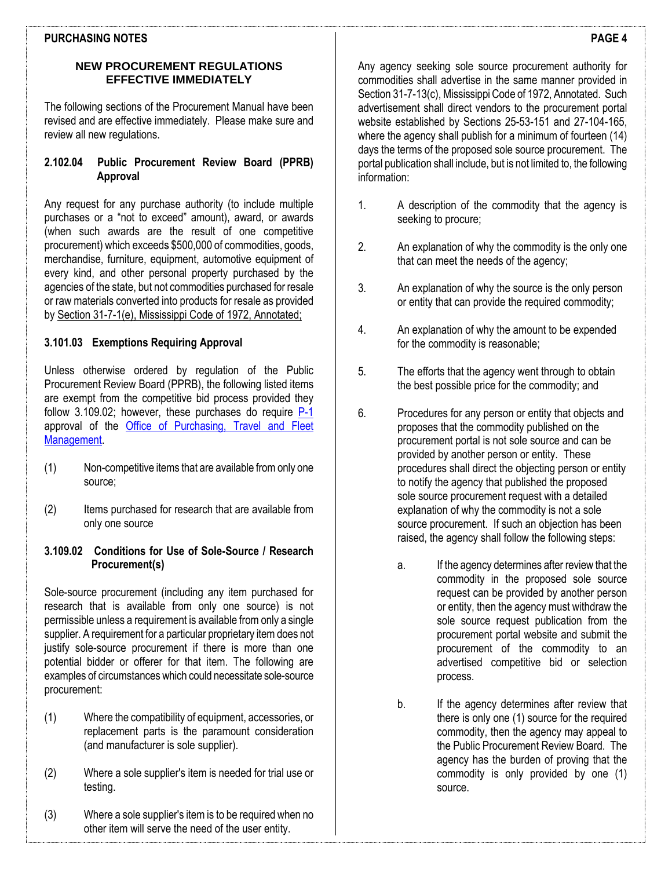#### **PURCHASING NOTES**

#### **NEW PROCUREMENT REGULATIONS EFFECTIVE IMMEDIATELY**

The following sections of the Procurement Manual have been revised and are effective immediately. Please make sure and review all new regulations.

#### **2.102.04 Public Procurement Review Board (PPRB) Approval**

Any request for any purchase authority (to include multiple purchases or a "not to exceed" amount), award, or awards (when such awards are the result of one competitive procurement) which exceeds \$500,000 of commodities, goods, merchandise, furniture, equipment, automotive equipment of every kind, and other personal property purchased by the agencies of the state, but not commodities purchased for resale or raw materials converted into products for resale as provided b[y Section 31-7-1\(e\), Mississippi Code of 1972, Annotated;](http://www.lexisnexis.com/hottopics/mscode/)

### **3.101.03 Exemptions Requiring Approval**

Unless otherwise ordered by regulation of the Public Procurement Review Board (PPRB), the following listed items are exempt from the competitive bid process provided they follow 3.109.02; however, these purchases do require [P-1](http://www.dfa.state.ms.us/Purchasing/Forms/P1Webprocure.pdf) approval of the [Office of Purchasing, Travel and Fleet](http://www.dfa.state.ms.us/Purchasing/Home.html)  [Management.](http://www.dfa.state.ms.us/Purchasing/Home.html)

- (1) Non-competitive items that are available from only one source;
- (2) Items purchased for research that are available from only one source

#### **3.109.02 Conditions for Use of Sole-Source / Research Procurement(s)**

Sole-source procurement (including any item purchased for research that is available from only one source) is not permissible unless a requirement is available from only a single supplier. A requirement for a particular proprietary item does not justify sole-source procurement if there is more than one potential bidder or offerer for that item. The following are examples of circumstances which could necessitate sole-source procurement:

- (1) Where the compatibility of equipment, accessories, or replacement parts is the paramount consideration (and manufacturer is sole supplier).
- (2) Where a sole supplier's item is needed for trial use or testing.
- (3) Where a sole supplier's item is to be required when no other item will serve the need of the user entity.

Any agency seeking sole source procurement authority for commodities shall advertise in the same manner provided in Section 31-7-13(c), Mississippi Code of 1972, Annotated. Such advertisement shall direct vendors to the procurement portal website established by Sections 25-53-151 and 27-104-165, where the agency shall publish for a minimum of fourteen (14) days the terms of the proposed sole source procurement. The portal publication shall include, but is not limited to, the following information:

- 1. A description of the commodity that the agency is seeking to procure;
- 2. An explanation of why the commodity is the only one that can meet the needs of the agency;
- 3. An explanation of why the source is the only person or entity that can provide the required commodity;
- 4. An explanation of why the amount to be expended for the commodity is reasonable;
- 5. The efforts that the agency went through to obtain the best possible price for the commodity; and
- 6. Procedures for any person or entity that objects and proposes that the commodity published on the procurement portal is not sole source and can be provided by another person or entity. These procedures shall direct the objecting person or entity to notify the agency that published the proposed sole source procurement request with a detailed explanation of why the commodity is not a sole source procurement. If such an objection has been raised, the agency shall follow the following steps:
	- a. If the agency determines after review that the commodity in the proposed sole source request can be provided by another person or entity, then the agency must withdraw the sole source request publication from the procurement portal website and submit the procurement of the commodity to an advertised competitive bid or selection process.
	- b. If the agency determines after review that there is only one (1) source for the required commodity, then the agency may appeal to the Public Procurement Review Board. The agency has the burden of proving that the commodity is only provided by one (1) source.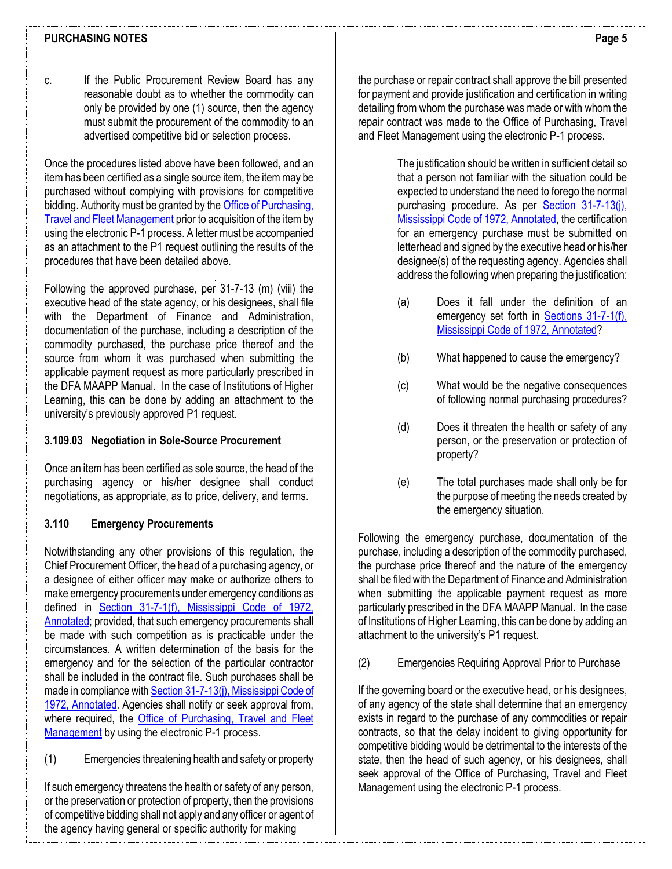#### **PURCHASING NOTES**

Once the procedures listed above have been followed, and an item has been certified as a single source item, the item may be purchased without complying with provisions for competitive bidding. Authority must be granted by th[e Office of Purchasing,](http://www.dfa.state.ms.us/Purchasing/Home.html)  [Travel and Fleet Management](http://www.dfa.state.ms.us/Purchasing/Home.html) prior to acquisition of the item by using the electronic P-1 process. A letter must be accompanied as an attachment to the P1 request outlining the results of the procedures that have been detailed above.

Following the approved purchase, per 31-7-13 (m) (viii) the executive head of the state agency, or his designees, shall file with the Department of Finance and Administration, documentation of the purchase, including a description of the commodity purchased, the purchase price thereof and the source from whom it was purchased when submitting the applicable payment request as more particularly prescribed in the DFA MAAPP Manual. In the case of Institutions of Higher Learning, this can be done by adding an attachment to the university's previously approved P1 request.

#### **3.109.03 Negotiation in Sole-Source Procurement**

Once an item has been certified as sole source, the head of the purchasing agency or his/her designee shall conduct negotiations, as appropriate, as to price, delivery, and terms.

#### **3.110 Emergency Procurements**

Notwithstanding any other provisions of this regulation, the Chief Procurement Officer, the head of a purchasing agency, or a designee of either officer may make or authorize others to make emergency procurements under emergency conditions as defined in [Section 31-7-1\(f\), Mississippi Code of 1972,](http://www.lexisnexis.com/hottopics/mscode/)  [Annotated;](http://www.lexisnexis.com/hottopics/mscode/) provided, that such emergency procurements shall be made with such competition as is practicable under the circumstances. A written determination of the basis for the emergency and for the selection of the particular contractor shall be included in the contract file. Such purchases shall be made in compliance wit[h Section 31-7-13\(j\), Mississippi Code of](http://www.lexisnexis.com/hottopics/mscode/)  [1972, Annotated.](http://www.lexisnexis.com/hottopics/mscode/) Agencies shall notify or seek approval from, where required, the Office of Purchasing, Travel and Fleet [Management](http://www.dfa.state.ms.us/Purchasing/Home.html) by using the electronic P-1 process.

(1) Emergencies threatening health and safety or property

If such emergency threatens the health or safety of any person, or the preservation or protection of property, then the provisions of competitive bidding shall not apply and any officer or agent of the agency having general or specific authority for making

the purchase or repair contract shall approve the bill presented for payment and provide justification and certification in writing detailing from whom the purchase was made or with whom the repair contract was made to the Office of Purchasing, Travel and Fleet Management using the electronic P-1 process.

> The justification should be written in sufficient detail so that a person not familiar with the situation could be expected to understand the need to forego the normal purchasing procedure. As per [Section 31-7-13\(j\),](http://www.lexisnexis.com/hottopics/mscode/)  [Mississippi Code of 1972, Annotated,](http://www.lexisnexis.com/hottopics/mscode/) the certification for an emergency purchase must be submitted on letterhead and signed by the executive head or his/her designee(s) of the requesting agency. Agencies shall address the following when preparing the justification:

- (a) Does it fall under the definition of an emergency set forth in **Sections 31-7-1(f)**, [Mississippi Code of 1972, Annotated?](http://www.lexisnexis.com/hottopics/mscode/)
- (b) What happened to cause the emergency?
- (c) What would be the negative consequences of following normal purchasing procedures?
- (d) Does it threaten the health or safety of any person, or the preservation or protection of property?
- (e) The total purchases made shall only be for the purpose of meeting the needs created by the emergency situation.

Following the emergency purchase, documentation of the purchase, including a description of the commodity purchased, the purchase price thereof and the nature of the emergency shall be filed with the Department of Finance and Administration when submitting the applicable payment request as more particularly prescribed in the DFA MAAPP Manual. In the case of Institutions of Higher Learning, this can be done by adding an attachment to the university's P1 request.

(2) Emergencies Requiring Approval Prior to Purchase

If the governing board or the executive head, or his designees, of any agency of the state shall determine that an emergency exists in regard to the purchase of any commodities or repair contracts, so that the delay incident to giving opportunity for competitive bidding would be detrimental to the interests of the state, then the head of such agency, or his designees, shall seek approval of the Office of Purchasing, Travel and Fleet Management using the electronic P-1 process.